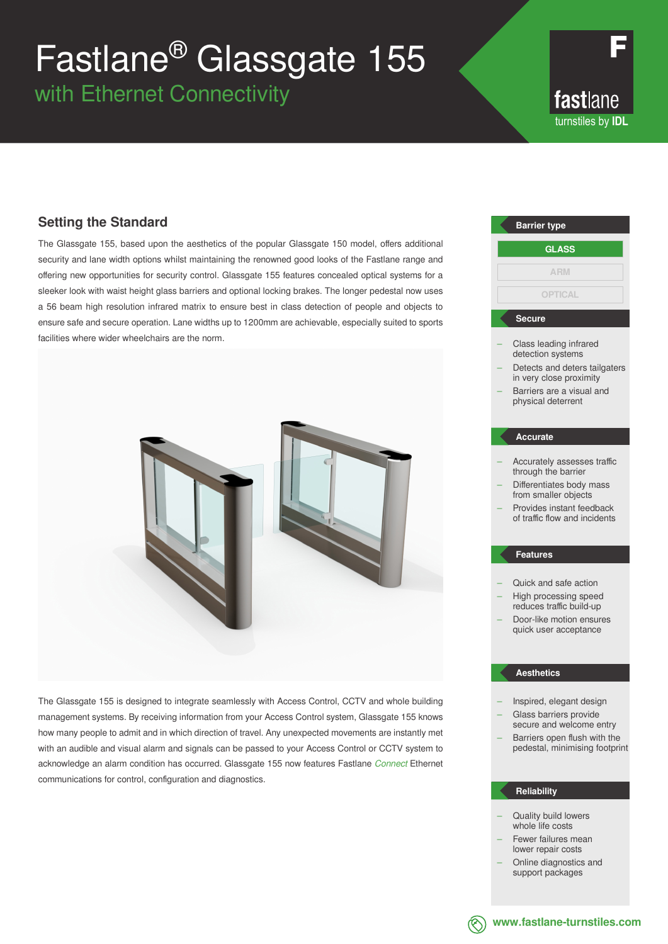# Fastlane® Glassgate 155

with Ethernet Connectivity

fastlane turnstiles by **IDL**

# **Setting the Standard**

The Glassgate 155, based upon the aesthetics of the popular Glassgate 150 model, offers additional security and lane width options whilst maintaining the renowned good looks of the Fastlane range and offering new opportunities for security control. Glassgate 155 features concealed optical systems for a sleeker look with waist height glass barriers and optional locking brakes. The longer pedestal now uses a 56 beam high resolution infrared matrix to ensure best in class detection of people and objects to ensure safe and secure operation. Lane widths up to 1200mm are achievable, especially suited to sports facilities where wider wheelchairs are the norm.



The Glassgate 155 is designed to integrate seamlessly with Access Control, CCTV and whole building management systems. By receiving information from your Access Control system, Glassgate 155 knows how many people to admit and in which direction of travel. Any unexpected movements are instantly met with an audible and visual alarm and signals can be passed to your Access Control or CCTV system to acknowledge an alarm condition has occurred. Glassgate 155 now features Fastlane *Connect* Ethernet communications for control, configuration and diagnostics.

# Class leading infrared detection systems Detects and deters tailgaters in very close proximity – Barriers are a visual and physical deterrent – Accurately assesses traffic through the barrier – Differentiates body mass from smaller objects – Provides instant feedback of traffic flow and incidents – Quick and safe action – High processing speed reduces traffic build-up – Door-like motion ensures quick user acceptance **Barrier type Secure Accurate Features GLASS ARM OPTICAL**

## **Aesthetics**

- Inspired, elegant design – Glass barriers provide
- secure and welcome entry – Barriers open flush with the pedestal, minimising footprint

## **Reliability**

- Quality build lowers whole life costs
- Fewer failures mean lower repair costs
- Online diagnostics and support packages
- 

**www.fastlane-turnstiles.com**